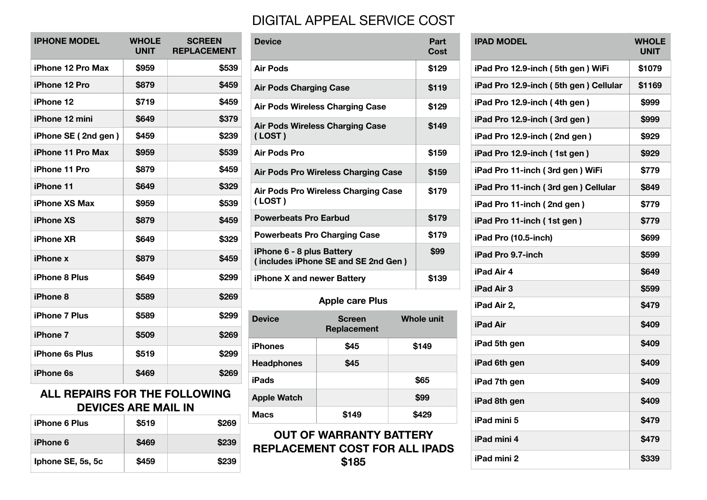## DIGITAL APPEAL SERVICE COST

| <b>IPHONE MODEL</b>      | <b>WHOLE</b><br><b>UNIT</b> | <b>SCREEN</b><br><b>REPLACEMENT</b> |
|--------------------------|-----------------------------|-------------------------------------|
| iPhone 12 Pro Max        | \$959                       | \$539                               |
| iPhone 12 Pro            | \$879                       | \$459                               |
| iPhone 12                | \$719                       | \$459                               |
| <b>iPhone 12 mini</b>    | \$649                       | \$379                               |
| iPhone SE (2nd gen)      | \$459                       | \$239                               |
| <b>iPhone 11 Pro Max</b> | \$959                       | \$539                               |
| <b>iPhone 11 Pro</b>     | \$879                       | \$459                               |
| <b>iPhone 11</b>         | \$649                       | \$329                               |
| <b>iPhone XS Max</b>     | \$959                       | \$539                               |
| <b>iPhone XS</b>         | \$879                       | \$459                               |
| <b>iPhone XR</b>         | \$649                       | \$329                               |
| <b>iPhone x</b>          | \$879                       | \$459                               |
| <b>iPhone 8 Plus</b>     | \$649                       | \$299                               |
| iPhone 8                 | \$589                       | \$269                               |
| <b>iPhone 7 Plus</b>     | \$589                       | \$299                               |
| <b>iPhone 7</b>          | \$509                       | \$269                               |
| <b>iPhone 6s Plus</b>    | \$519                       | \$299                               |
| <b>iPhone 6s</b>         | \$469                       | \$269                               |

## **ALL REPAIRS FOR THE FOLLOWING DEVICES ARE MAIL IN**

| <b>iPhone 6 Plus</b> | \$519 | <b>\$269</b> |
|----------------------|-------|--------------|
| <b>iPhone 6</b>      | \$469 | \$239        |
| Iphone SE, 5s, 5c    | \$459 | \$239        |

| <b>Device</b>                                                    |                                        |  | Part<br><b>Cost</b> |
|------------------------------------------------------------------|----------------------------------------|--|---------------------|
| <b>Air Pods</b>                                                  |                                        |  | \$129               |
| <b>Air Pods Charging Case</b>                                    |                                        |  | \$119               |
|                                                                  | <b>Air Pods Wireless Charging Case</b> |  | \$129               |
| (LOST)                                                           | <b>Air Pods Wireless Charging Case</b> |  | \$149               |
| Air Pods Pro                                                     |                                        |  | \$159               |
|                                                                  | Air Pods Pro Wireless Charging Case    |  | \$159               |
| Air Pods Pro Wireless Charging Case<br>(LOST)                    |                                        |  | \$179               |
| <b>Powerbeats Pro Earbud</b>                                     |                                        |  | \$179               |
| <b>Powerbeats Pro Charging Case</b>                              |                                        |  | \$179               |
| iPhone 6 - 8 plus Battery<br>(includes iPhone SE and SE 2nd Gen) |                                        |  | \$99                |
| iPhone X and newer Battery                                       |                                        |  | \$139               |
| <b>Apple care Plus</b>                                           |                                        |  |                     |
| <b>Device</b>                                                    | Screen<br>Replacement                  |  | <b>Whole unit</b>   |
| <b>iPhones</b>                                                   | \$45                                   |  | \$149               |
| <b>Headphones</b>                                                | \$45                                   |  |                     |
| iPads                                                            |                                        |  | \$65                |
| <b>Apple Watch</b>                                               |                                        |  | \$99                |

## **OUT OF WARRANTY BATTERY REPLACEMENT COST FOR ALL IF \$185**

|                                                                  | Air Pous Wireless Unarging Gase     |                   | จเ∠ย                            |                                 |
|------------------------------------------------------------------|-------------------------------------|-------------------|---------------------------------|---------------------------------|
| <b>Air Pods Wireless Charging Case</b>                           |                                     | \$149             | iPad Pro 12.9-inch (3rd gen)    |                                 |
| (LOST)                                                           |                                     |                   | iPad Pro 12.9-inch (2nd gen)    |                                 |
| Air Pods Pro                                                     |                                     | \$159             | iPad Pro 12.9-inch (1st gen)    |                                 |
|                                                                  | Air Pods Pro Wireless Charging Case |                   | \$159                           | iPad Pro 11-inch (3rd gen) WiFi |
| Air Pods Pro Wireless Charging Case                              |                                     | \$179             | iPad Pro 11-inch (3rd gen) Cell |                                 |
| (LOST)                                                           |                                     |                   |                                 | iPad Pro 11-inch (2nd gen)      |
| <b>Powerbeats Pro Earbud</b>                                     |                                     |                   | \$179                           | iPad Pro 11-inch (1st gen)      |
| <b>Powerbeats Pro Charging Case</b>                              |                                     | \$179             | iPad Pro (10.5-inch)            |                                 |
| iPhone 6 - 8 plus Battery<br>(includes iPhone SE and SE 2nd Gen) |                                     | \$99              | iPad Pro 9.7-inch               |                                 |
| iPhone X and newer Battery                                       |                                     | \$139             | iPad Air 4                      |                                 |
|                                                                  |                                     | <b>iPad Air 3</b> |                                 |                                 |
| <b>Apple care Plus</b>                                           |                                     | iPad Air 2,       |                                 |                                 |
| <b>Device</b>                                                    | <b>Screen</b><br>Replacement        | <b>Whole unit</b> |                                 | <b>iPad Air</b>                 |
| <b>iPhones</b>                                                   | \$45                                | \$149             |                                 | iPad 5th gen                    |
| <b>Headphones</b>                                                | \$45                                |                   |                                 | iPad 6th gen                    |
| iPads                                                            |                                     | \$65              |                                 | iPad 7th gen                    |
| <b>Apple Watch</b>                                               |                                     | \$99              |                                 | iPad 8th gen                    |
| <b>Macs</b>                                                      | \$149                               | \$429             |                                 | iPad mini 5                     |
| <b>OUT OF WARRANTY BATTERY</b>                                   |                                     | iPad mini 4       |                                 |                                 |
| <b>REPLACEMENT COST FOR ALL IPADS</b><br>\$185                   |                                     |                   | iPad mini 2                     |                                 |

| <b>IPAD MODEL</b>                     | <b>WHOLE</b><br>UNIT |
|---------------------------------------|----------------------|
| iPad Pro 12.9-inch (5th gen) WiFi     | \$1079               |
| iPad Pro 12.9-inch (5th gen) Cellular | \$1169               |
| iPad Pro 12.9-inch (4th gen)          | \$999                |
| iPad Pro 12.9-inch (3rd gen)          | \$999                |
| iPad Pro 12.9-inch (2nd gen)          | \$929                |
| iPad Pro 12.9-inch (1st gen)          | \$929                |
| iPad Pro 11-inch (3rd gen) WiFi       | \$779                |
| iPad Pro 11-inch (3rd gen) Cellular   | \$849                |
| iPad Pro 11-inch (2nd gen)            | \$779                |
| iPad Pro 11-inch (1st gen)            | \$779                |
| iPad Pro (10.5-inch)                  | \$699                |
| iPad Pro 9.7-inch                     | \$599                |
| iPad Air 4                            | \$649                |
| <b>iPad Air 3</b>                     | \$599                |
| iPad Air 2,                           | \$479                |
| iPad Air                              | \$409                |
| iPad 5th gen                          | \$409                |
| iPad 6th gen                          | \$409                |
| iPad 7th gen                          | \$409                |
| iPad 8th gen                          | \$409                |
| iPad mini 5                           | \$479                |
| iPad mini 4                           | \$479                |
| iPad mini 2                           | \$339                |